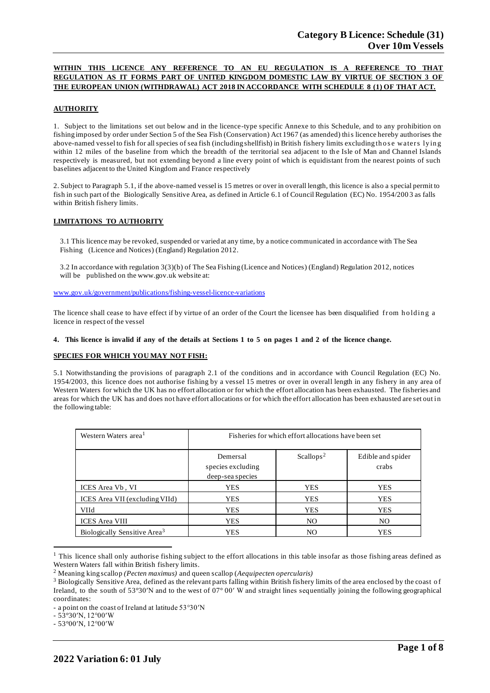## **WITHIN THIS LICENCE ANY REFERENCE TO AN EU REGULATION IS A REFERENCE TO THAT REGULATION AS IT FORMS PART OF UNITED KINGDOM DOMESTIC LAW BY VIRTUE OF SECTION 3 OF THE EUROPEAN UNION (WITHDRAWAL) ACT 2018 IN ACCORDANCE WITH SCHEDULE 8 (1) OF THAT ACT.**

## **AUTHORITY**

1. Subject to the limitations set out below and in the licence-type specific Annexe to this Schedule, and to any prohibition on fishing imposed by order under Section 5 of the Sea Fish (Conservation) Act 1967 (as amended) this licence hereby authorises the above-named vessel to fish for all species of sea fish (including shellfish) in British fishery limits excluding those waters lying within 12 miles of the baseline from which the breadth of the territorial sea adjacent to the Isle of Man and Channel Islands respectively is measured, but not extending beyond a line every point of which is equidistant from the nearest points of such baselines adjacent to the United Kingdom and France respectively

2. Subject to Paragraph 5.1, if the above-named vessel is 15 metres or over in overall length, this licence is also a special permit to fish in such part of the Biologically Sensitive Area, as defined in Article 6.1 of Council Regulation (EC) No. 1954/200 3 as falls within British fishery limits.

#### **LIMITATIONS TO AUTHORITY**

3.1 This licence may be revoked, suspended or varied at any time, by a notice communicated in accordance with The Sea Fishing (Licence and Notices) (England) Regulation 2012.

3.2 In accordance with regulation 3(3)(b) of The Sea Fishing (Licence and Notices) (England) Regulation 2012, notices will be published on the [www.gov.uk](http://www.gov.uk/) website at:

[www.gov.uk/government/publications/fishing-vessel-licence-variations](http://www.gov.uk/government/publications/fishing-vessel-licence-variations)

The licence shall cease to have effect if by virtue of an order of the Court the licensee has been disqualified from holding a licence in respect of the vessel

## 4. This licence is invalid if any of the details at Sections 1 to 5 on pages 1 and 2 of the licence change.

#### **SPECIES FOR WHICH YOU MAY NOT FISH:**

5.1 Notwithstanding the provisions of paragraph 2.1 of the conditions and in accordance with Council Regulation (EC) No. 1954/2003, this licence does not authorise fishing by a vessel 15 metres or over in overall length in any fishery in any area of Western Waters for which the UK has no effort allocation or for which the effort allocation has been exhausted. The fisheries and areas for which the UK has and does not have effort allocations or for which the effort allocation has been exhausted are set out in the following table:

| Western Waters area <sup>1</sup>         | Fisheries for which effort allocations have been set |                       |                            |
|------------------------------------------|------------------------------------------------------|-----------------------|----------------------------|
|                                          | Demersal<br>species excluding<br>deep-sea species    | Scallops <sup>2</sup> | Edible and spider<br>crabs |
| ICES Area Vb, VI                         | YES                                                  | YES                   | <b>YES</b>                 |
| ICES Area VII (excluding VIId)           | <b>YES</b>                                           | <b>YES</b>            | <b>YES</b>                 |
| <b>VIId</b>                              | <b>YES</b>                                           | <b>YES</b>            | <b>YES</b>                 |
| <b>ICES</b> Area VIII                    | <b>YES</b>                                           | NO.                   | N <sub>O</sub>             |
| Biologically Sensitive Area <sup>3</sup> | YES                                                  | NO.                   | YES                        |

<sup>&</sup>lt;sup>1</sup> This licence shall only authorise fishing subject to the effort allocations in this table insofar as those fishing areas defined as Western Waters fall within British fishery limits.

<sup>2</sup> Meaning king scallop *(Pecten maximus)* and queen scallop (*Aequipecten opercularis)*

<sup>&</sup>lt;sup>3</sup> Biologically Sensitive Area, defined as the relevant parts falling within British fishery limits of the area enclosed by the coast of Ireland, to the south of 53°30′N and to the west of 07° 00′ W and straight lines sequentially joining the following geographical coordinates:

<sup>-</sup> a point on the coast of Ireland at latitude 53°30′N

<sup>-</sup> 53°30′N, 12°00′W

<sup>-</sup> 53°00′N, 12°00′W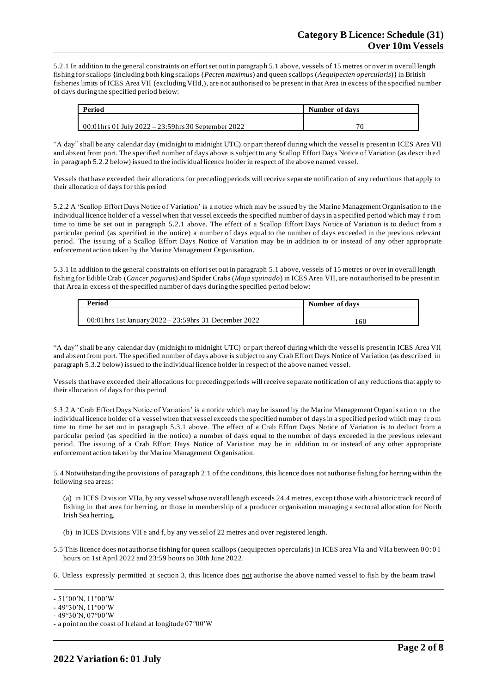5.2.1 In addition to the general constraints on effort set out in paragraph 5.1 above, vessels of 15 metres or over in overall length fishing for scallops {including both king scallops (*Pecten maximus*) and queen scallops (*Aequipecten opercularis*)} in British fisheries limits of ICES Area VII (excluding VIId,), are not authorised to be present in that Area in excess of the specified number of days during the specified period below:

| Period                                               | Number of days |  |
|------------------------------------------------------|----------------|--|
|                                                      |                |  |
| 00:01 hrs 01 July 2022 – 23:59 hrs 30 September 2022 |                |  |

"A day" shall be any calendar day (midnight to midnight UTC) or part thereof during which the vessel is present in ICES Area VII and absent from port. The specified number of days above is subject to any Scallop Effort Days Notice of Variation (as describ ed in paragraph 5.2.2 below) issued to the individual licence holder in respect of the above named vessel.

Vessels that have exceeded their allocations for preceding periods will receive separate notification of any reductions that apply to their allocation of days for this period

5.2.2 A 'Scallop Effort Days Notice of Variation' is a notice which may be issued by the Marine Management Organisation to th e individual licence holder of a vessel when that vessel exceeds the specified number of days in a specified period which may f ro m time to time be set out in paragraph 5.2.1 above. The effect of a Scallop Effort Days Notice of Variation is to deduct from a particular period (as specified in the notice) a number of days equal to the number of days exceeded in the previous relevant period. The issuing of a Scallop Effort Days Notice of Variation may be in addition to or instead of any other appropriate enforcement action taken by the Marine Management Organisation.

5.3.1 In addition to the general constraints on effort set out in paragraph 5.1 above, vessels of 15 metres or over in overall length fishing for Edible Crab (*Cancer pagurus*) and Spider Crabs (*Maja squinado*) in ICES Area VII, are not authorised to be present in that Area in excess of the specified number of days during the specified period below:

| Period                                                | Number of days |
|-------------------------------------------------------|----------------|
| 00:01hrs 1st January 2022 – 23:59hrs 31 December 2022 | .60            |

"A day" shall be any calendar day (midnight to midnight UTC) or part thereof during which the vessel is present in ICES Area VII and absent from port. The specified number of days above is subject to any Crab Effort Days Notice of Variation (as describ ed in paragraph 5.3.2 below) issued to the individual licence holder in respect of the above named vessel.

Vessels that have exceeded their allocations for preceding periods will receive separate notification of any reductions that apply to their allocation of days for this period

5.3.2 A 'Crab Effort Days Notice of Variation' is a notice which may be issued by the Marine Management Organ is atio n to th e individual licence holder of a vessel when that vessel exceeds the specified number of days in a specified period which may fro m time to time be set out in paragraph 5.3.1 above. The effect of a Crab Effort Days Notice of Variation is to deduct from a particular period (as specified in the notice) a number of days equal to the number of days exceeded in the previous relevant period. The issuing of a Crab Effort Days Notice of Variation may be in addition to or instead of any other appropriate enforcement action taken by the Marine Management Organisation.

5.4 Notwithstanding the provisions of paragraph 2.1 of the conditions, this licence does not authorise fishing for herring within the following sea areas:

(a) in ICES Division VIIa, by any vessel whose overall length exceeds 24.4 metres, excep t those with a historic track record of fishing in that area for herring, or those in membership of a producer organisation managing a sectoral allocation for North Irish Sea herring.

- (b) in ICES Divisions VII e and f, by any vessel of 22 metres and over registered length.
- 5.5 This licence does not authorise fishing for queen scallops (aequipecten opercularis) in ICES area VIa and VIIa between 0 0 :0 1 hours on 1st April 2022 and 23:59 hours on 30th June 2022.
- 6. Unless expressly permitted at section 3, this licence does not authorise the above named vessel to fish by the beam trawl

<sup>-</sup> 51°00′N, 11°00′W

<sup>-</sup> 49°30′N, 11°00′W

<sup>-</sup> 49°30′N, 07°00′W

<sup>-</sup> a point on the coast of Ireland at longitude 07°00′W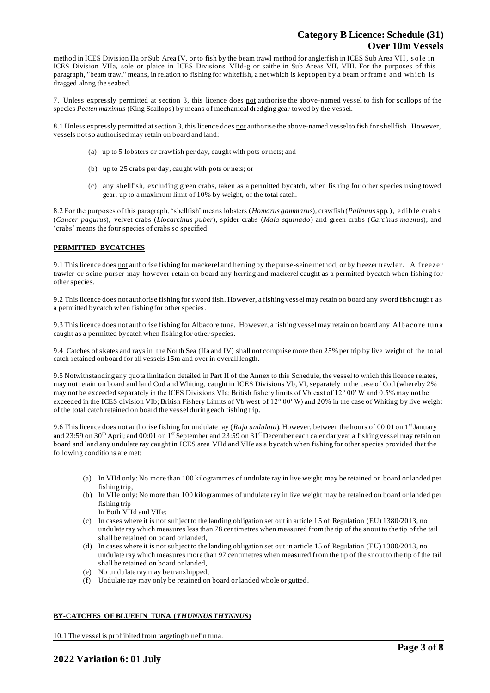method in ICES Division IIa or Sub Area IV, or to fish by the beam trawl method for anglerfish in ICES Sub Area VII, so le in ICES Division VIIa, sole or plaice in ICES Divisions VIId-g or saithe in Sub Areas VII, VIII. For the purposes of this paragraph, "beam trawl" means, in relation to fishing for whitefish, a net which is kept open by a beam or frame and which is dragged along the seabed.

7. Unless expressly permitted at section 3, this licence does not authorise the above-named vessel to fish for scallops of the species *Pecten maximus* (King Scallops) by means of mechanical dredging gear towed by the vessel.

8.1 Unless expressly permitted at section 3, this licence does not authorise the above-named vessel to fish for shellfish. However, vessels not so authorised may retain on board and land:

- (a) up to 5 lobsters or crawfish per day, caught with pots or nets; and
- (b) up to 25 crabs per day, caught with pots or nets; or
- (c) any shellfish, excluding green crabs, taken as a permitted bycatch, when fishing for other species using towed gear, up to a maximum limit of 10% by weight, of the total catch.

8.2 For the purposes of this paragraph, 'shellfish' means lobsters (*Homarus gammarus*), crawfish (*Palinuus* spp.), ed ib le crab s (*Cancer pagurus*), velvet crabs (*Liocarcinus puber*), spider crabs (*Maia squinado*) and green crabs (*Carcinus maenus*); and 'crabs' means the four species of crabs so specified.

#### **PERMITTED BYCATCHES**

9.1 This licence does not authorise fishing for mackerel and herring by the purse-seine method, or by freezer trawler. A freezer trawler or seine purser may however retain on board any herring and mackerel caught as a permitted bycatch when fishing for other species.

9.2 This licence does not authorise fishing for sword fish. However, a fishing vessel may retain on board any sword fish caugh t as a permitted bycatch when fishing for other species.

9.3 This licence does not authorise fishing for Albacore tuna. However, a fishing vessel may retain on board any Albacore tuna caught as a permitted bycatch when fishing for other species.

9.4 Catches of skates and rays in the North Sea (IIa and IV) shall not comprise more than 25% per trip by live weight of the to tal catch retained onboard for all vessels 15m and over in overall length.

9.5 Notwithstanding any quota limitation detailed in Part II of the Annex to this Schedule, the vessel to which this licence relates, may not retain on board and land Cod and Whiting, caught in ICES Divisions Vb, VI, separately in the case of Cod (whereby 2% may not be exceeded separately in the ICES Divisions VIa; British fishery limits of Vb east of 12° 00′ W and 0.5% may not be exceeded in the ICES division VIb; British Fishery Limits of Vb west of 12° 00′ W) and 20% in the case of Whiting by live weight of the total catch retained on board the vessel during each fishing trip.

9.6 This licence does not authorise fishing for undulate ray (*Raja undulata*). However, between the hours of 00:01 on 1<sup>st</sup> January and 23:59 on 30<sup>th</sup> April; and 00:01 on 1<sup>st</sup> September and 23:59 on 31<sup>st</sup> December each calendar year a fishing vessel may retain on board and land any undulate ray caught in ICES area VIId and VIIe as a bycatch when fishing for other species provided that the following conditions are met:

- (a) In VIId only: No more than 100 kilogrammes of undulate ray in live weight may be retained on board or landed per fishing trip,
- (b) In VIIe only: No more than 100 kilogrammes of undulate ray in live weight may be retained on board or landed per fishing trip

In Both VIId and VIIe:

- (c) In cases where it is not subject to the landing obligation set out in article 15 of Regulation (EU) 1380/2013, no undulate ray which measures less than 78 centimetres when measured from the tip of the snout to the tip of the tail shall be retained on board or landed,
- (d) In cases where it is not subject to the landing obligation set out in article 15 of Regulation (EU) 1380/2013, no undulate ray which measures more than 97 centimetres when measured from the tip of the snout to the tip of the tail shall be retained on board or landed,
- (e) No undulate ray may be transhipped,
- (f) Undulate ray may only be retained on board or landed whole or gutted.

#### **BY-CATCHES OF BLUEFIN TUNA (***THUNNUS THYNNUS***)**

10.1 The vessel is prohibited from targeting bluefin tuna.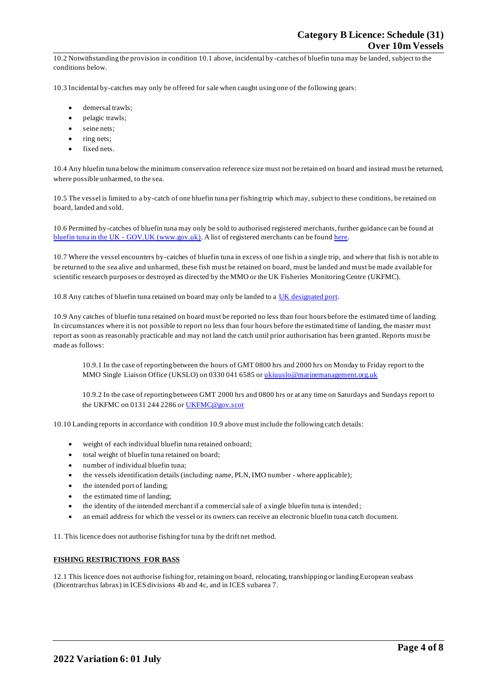10.2 Notwithstanding the provision in condition 10.1 above, incidental by -catches of bluefin tuna may be landed, subject to the conditions below.

10.3 Incidental by-catches may only be offered for sale when caught using one of the following gears:

- demersal trawls:
- pelagic trawls;
- seine nets;
- ring nets;
- fixed nets.

10.4 Any bluefin tuna below the minimum conservation reference size must not be retain ed on board and instead must be returned, where possible unharmed, to the sea.

10.5 The vessel is limited to a by-catch of one bluefin tuna per fishing trip which may, subject to these conditions, be retained on board, landed and sold.

10.6 Permitted by-catches of bluefin tuna may only be sold to authorised registered merchants, further guidance can be found at bluefin tuna in the UK - [GOV.UK \(www.gov.uk\).](https://www.gov.uk/guidance/bluefin-tuna-in-the-uk) A list of registered merchants can be foun[d here.](https://www.gov.uk/government/publications/bluefin-tuna-traders/registered-bluefin-tuna-traders)

10.7 Where the vessel encounters by-catches of bluefin tuna in excess of one fish in a single trip, and where that fish is not able to be returned to the sea alive and unharmed, these fish must be retained on board, must be landed and must be made available for scientific research purposes or destroyed as directed by the MMO or the UK Fisheries Monitoring Centre (UKFMC).

10.8 Any catches of bluefin tuna retained on board may only be landed to a [UK designated port.](https://www.gov.uk/government/publications/designated-ports/designated-ports-for-uk-flagged-vessels-landing-bluefin-tuna)

10.9 Any catches of bluefin tuna retained on board must be reported no less than four hours before the estimated time of landing. In circumstances where it is not possible to report no less than four hours before the estimated time of landing, the master must report as soon as reasonably practicable and may not land the catch until prior authorisation has been granted. Reports must be made as follows:

10.9.1 In the case of reporting between the hours of GMT 0800 hrs and 2000 hrs on Monday to Friday report to the MMO Single Liaison Office (UKSLO) on 0330 041 6585 o[r ukiuuslo@marinemanagement.org.uk](mailto:ukiuuslo@marinemanagement.org.uk)

10.9.2 In the case of reporting between GMT 2000 hrs and 0800 hrs or at any time on Saturdays and Sundays report to the UKFMC on 0131 244 2286 o[r UKFMC@gov.scot](mailto:UKFMC@gov.scot)

10.10 Landing reports in accordance with condition 10.9 above must include the following catch details:

- weight of each individual bluefin tuna retained onboard;
- total weight of bluefin tuna retained on board;
- number of individual bluefin tuna:
- the vessels identification details (including: name, PLN, IMO number where applicable);
- the intended port of landing;
- the estimated time of landing;
- the identity of the intended merchant if a commercial sale of a single bluefin tuna is intended;
- an email address for which the vessel or its owners can receive an electronic bluefin tuna catch document.

11. This licence does not authorise fishing for tuna by the drift net method.

#### **FISHING RESTRICTIONS FOR BASS**

12.1 This licence does not authorise fishing for, retaining on board, relocating, transhipping or landing European seabass (Dicentrarchus labrax) in ICES divisions 4b and 4c, and in ICES subarea 7.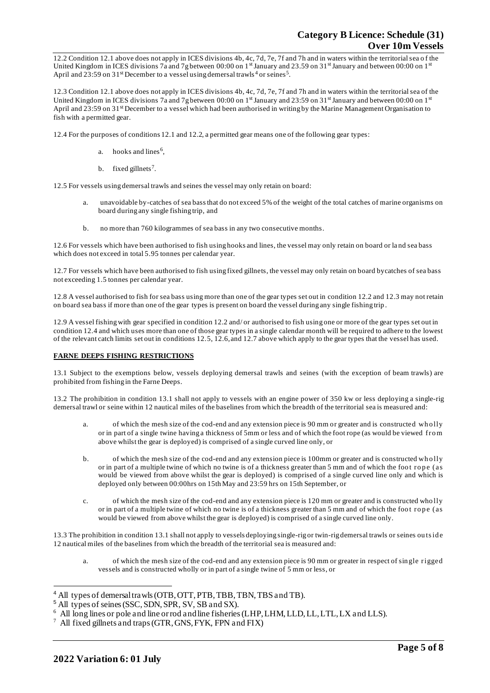12.2 Condition 12.1 above does not apply in ICES divisions 4b, 4c, 7d, 7e, 7f and 7h and in waters within the territorial sea o f the United Kingdom in ICES divisions 7a and 7g between 00:00 on 1st January and 23.59 on 31st January and between 00:00 on 1st April and 23:59 on 31<sup>st</sup> December to a vessel using demersal trawls<sup>4</sup> or seines<sup>5</sup>.

12.3 Condition 12.1 above does not apply in ICES divisions 4b, 4c, 7d, 7e, 7f and 7h and in waters within the territorial sea of the United Kingdom in ICES divisions 7a and 7g between 00:00 on  $1<sup>st</sup>$  January and 23:59 on 31<sup>st</sup> January and between 00:00 on  $1<sup>st</sup>$ April and 23:59 on 31<sup>st</sup> December to a vessel which had been authorised in writing by the Marine Management Organisation to fish with a permitted gear.

12.4 For the purposes of conditions 12.1 and 12.2, a permitted gear means one of the following gear types:

- a. hooks and lines<sup>6</sup>,
- b. fixed gillnets<sup>7</sup>.

12.5 For vessels using demersal trawls and seines the vessel may only retain on board:

- a. unavoidable by-catches of sea bass that do not exceed 5% of the weight of the total catches of marine organisms on board during any single fishing trip, and
- b. no more than 760 kilogrammes of sea bass in any two consecutive months.

12.6 For vessels which have been authorised to fish using hooks and lines, the vessel may only retain on board or la nd sea bass which does not exceed in total 5.95 tonnes per calendar year.

12.7 For vessels which have been authorised to fish using fixed gillnets, the vessel may only retain on board bycatches of sea bass not exceeding 1.5 tonnes per calendar year.

12.8 A vessel authorised to fish for sea bass using more than one of the gear types set out in condition 12.2 and 12.3 may not retain on board sea bass if more than one of the gear types is present on board the vessel during any single fishing trip .

12.9 A vessel fishing with gear specified in condition 12.2 and/ or authorised to fish using one or more of the gear types set out in condition 12.4 and which uses more than one of those gear types in a single calendar month will be required to adhere to the lowest of the relevant catch limits set out in conditions 12.5, 12.6, and 12.7 above which apply to the gear types that the vessel has used.

#### **FARNE DEEPS FISHING RESTRICTIONS**

13.1 Subject to the exemptions below, vessels deploying demersal trawls and seines (with the exception of beam trawls) are prohibited from fishing in the Farne Deeps.

13.2 The prohibition in condition 13.1 shall not apply to vessels with an engine power of 350 kw or less deploying a single-rig demersal trawl or seine within 12 nautical miles of the baselines from which the breadth of the territorial sea is measured and:

- of which the mesh size of the cod-end and any extension piece is 90 mm or greater and is constructed who lly or in part of a single twine having a thickness of 5mm or less and of which the foot rope (as would be viewed fro m above whilst the gear is deployed) is comprised of a single curved line only, or
- b. of which the mesh size of the cod-end and any extension piece is 100mm or greater and is constructed who lly or in part of a multiple twine of which no twine is of a thickness greater than 5 mm and of which the foot rope (as would be viewed from above whilst the gear is deployed) is comprised of a single curved line only and which is deployed only between 00:00hrs on 15th May and 23:59 hrs on 15th September, or
- c. of which the mesh size of the cod-end and any extension piece is 120 mm or greater and is constructed who lly or in part of a multiple twine of which no twine is of a thickness greater than 5 mm and of which the foot rope (as would be viewed from above whilst the gear is deployed) is comprised of a single curved line only.

13.3 The prohibition in condition 13.1 shall not apply to vessels deploying single-rig or twin-rig demersal trawls or seines ou ts id e 12 nautical miles of the baselines from which the breadth of the territorial sea is measured and:

of which the mesh size of the cod-end and any extension piece is 90 mm or greater in respect of single rigged vessels and is constructed wholly or in part of a single twine of 5 mm or less, or

<sup>&</sup>lt;sup>4</sup> All types of demersal trawls (OTB, OTT, PTB, TBB, TBN, TBS and TB).

<sup>5</sup> All types of seines (SSC, SDN, SPR, SV, SB and SX).

<sup>&</sup>lt;sup>6</sup> All long lines or pole and line or rod and line fisheries (LHP, LHM, LLD, LL, LTL, LX and LLS).

<sup>7</sup> All fixed gillnets and traps (GTR, GNS, FYK, FPN and FIX)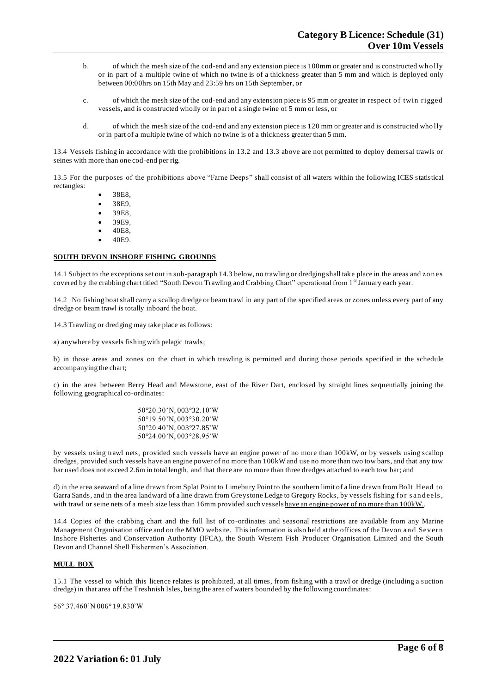- b. of which the mesh size of the cod-end and any extension piece is 100mm or greater and is constructed who lly or in part of a multiple twine of which no twine is of a thickness greater than 5 mm and which is deployed only between 00:00hrs on 15th May and 23:59 hrs on 15th September, or
- c. of which the mesh size of the cod-end and any extension piece is 95 mm or greater in respect o f twin rigged vessels, and is constructed wholly or in part of a single twine of 5 mm or less, or
- d. of which the mesh size of the cod-end and any extension piece is 120 mm or greater and is constructed who lly or in part of a multiple twine of which no twine is of a thickness greater than 5 mm.

13.4 Vessels fishing in accordance with the prohibitions in 13.2 and 13.3 above are not permitted to deploy demersal trawls or seines with more than one cod-end per rig.

13.5 For the purposes of the prohibitions above "Farne Deeps" shall consist of all waters within the following ICES statistical rectangles:

- 38E8,
- 38E9,
- 39E8,
- 39E9,
- 40E8,
- 40E9.

## **SOUTH DEVON INSHORE FISHING GROUNDS**

14.1 Subject to the exceptions set out in sub-paragraph 14.3 below, no trawling or dredging shall take place in the areas and zones covered by the crabbing chart titled "South Devon Trawling and Crabbing Chart" operational from 1st January each year.

14.2 No fishing boat shall carry a scallop dredge or beam trawl in any part of the specified areas or zones unless every part of any dredge or beam trawl is totally inboard the boat.

14.3 Trawling or dredging may take place as follows:

a) anywhere by vessels fishing with pelagic trawls;

b) in those areas and zones on the chart in which trawling is permitted and during those periods specified in the schedule accompanying the chart;

c) in the area between Berry Head and Mewstone, east of the River Dart, enclosed by straight lines sequentially joining the following geographical co-ordinates:

> 50°20.30'N, 003°32.10'W 50°19.50'N, 003°30.20'W 50°20.40'N, 003°27.85'W 50°24.00'N, 003°28.95'W

by vessels using trawl nets, provided such vessels have an engine power of no more than 100kW, or by vessels using scallop dredges, provided such vessels have an engine power of no more than 100kW and use no more than two tow bars, and that any tow bar used does not exceed 2.6m in total length, and that there are no more than three dredges attached to each tow bar; and

d) in the area seaward of a line drawn from Splat Point to Limebury Point to the southern limit of a line drawn from Bo lt Head to Garra Sands, and in the area landward of a line drawn from Greystone Ledge to Gregory Rocks, by vessels fishing for sandeels, with trawl or seine nets of a mesh size less than 16mm provided such vessels have an engine power of no more than 100kW..

14.4 Copies of the crabbing chart and the full list of co-ordinates and seasonal restrictions are available from any Marine Management Organisation office and on the MMO website. This information is also held at the offices of the Devon an d Sev ern Inshore Fisheries and Conservation Authority (IFCA), the South Western Fish Producer Organisation Limited and the South Devon and Channel Shell Fishermen's Association.

#### **MULL BOX**

15.1 The vessel to which this licence relates is prohibited, at all times, from fishing with a trawl or dredge (including a suction dredge) in that area off the Treshnish Isles, being the area of waters bounded by the following coordinates:

56° 37.460'N 006° 19.830'W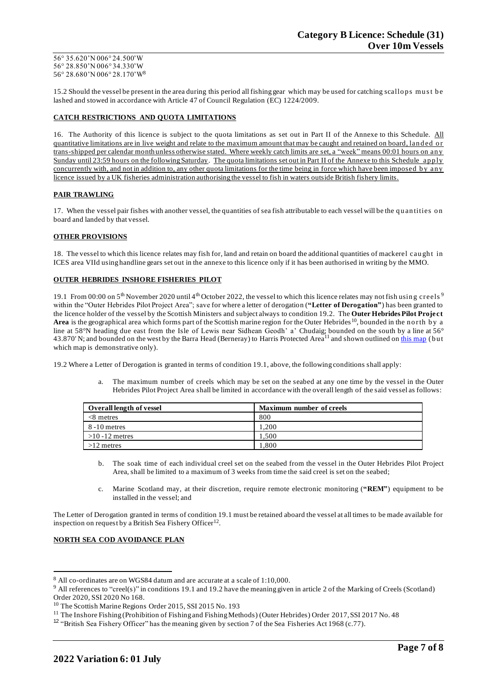56° 35.620'N 006° 24.500'W 56° 28.850'N 006° 34.330'W 56° 28.680'N 006° 28.170'W<sup>8</sup>

15.2 Should the vessel be present in the area during this period all fishing gear which may be used for catching scallops must be lashed and stowed in accordance with Article 47 of Council Regulation (EC) 1224/2009.

## **CATCH RESTRICTIONS AND QUOTA LIMITATIONS**

16. The Authority of this licence is subject to the quota limitations as set out in Part II of the Annexe to this Schedule. All quantitative limitations are in live weight and relate to the maximum amount that may be caught and retained on board, landed or trans-shipped per calendar month unless otherwise stated. Where weekly catch limits are set, a "week" means 00:01 hours on an y Sunday until 23:59 hours on the following Saturday. The quota limitations set out in Part II of the Annexe to this Schedule apply concurrently with, and not in addition to, any other quota limitations for the time being in force which have been imposed by any licence issued by a UK fisheries administration authorising the vessel to fish in waters outside British fishery limits.

## **PAIR TRAWLING**

17. When the vessel pair fishes with another vessel, the quantities of sea fish attributable to each vessel will be the quantities on board and landed by that vessel.

## **OTHER PROVISIONS**

18. The vessel to which this licence relates may fish for, land and retain on board the additional quantities of mackerel caught in ICES area VIId using handline gears set out in the annexe to this licence only if it has been authorised in writing by the MMO.

### **OUTER HEBRIDES INSHORE FISHERIES PILOT**

19.1 From 00:00 on  $5<sup>th</sup>$  November 2020 until 4<sup>th</sup> October 2022, the vessel to which this licence relates may not fish using creels <sup>9</sup> within the "Outer Hebrides Pilot Project Area"; save for where a letter of derogation (**"Letter of Derogation"**) has been granted to the licence holder of the vessel by the Scottish Ministers and subject always to condition 19.2. The **Outer Hebrides Pilot Project**  Area is the geographical area which forms part of the Scottish marine region for the Outer Hebrides<sup>10</sup>, bounded in the n orth by a line at 58°N heading due east from the Isle of Lewis near Sidhean Geodh' a' Chudaig; bounded on the south by a line at 56° 43.870' N; and bounded on the west by the Barra Head (Berneray) to Harris Protected Area<sup>11</sup> and shown outlined on this [map](https://www.gov.scot/publications/outer-hebrides-inshore-fisheries-pilot-area) (but which map is demonstrative only).

19.2 Where a Letter of Derogation is granted in terms of condition 19.1, above, the following conditions shall apply:

a. The maximum number of creels which may be set on the seabed at any one time by the vessel in the Outer Hebrides Pilot Project Area shall be limited in accordance with the overall length of the said vessel as follows:

| Overall length of vessel | <b>Maximum number of creels</b> |
|--------------------------|---------------------------------|
| $<8$ metres              | 800                             |
| 8 - 10 metres            | 200                             |
| $>10 - 12$ metres        | .500                            |
| $>12$ metres             | .800                            |

- b. The soak time of each individual creel set on the seabed from the vessel in the Outer Hebrides Pilot Project Area, shall be limited to a maximum of 3 weeks from time the said creel is set on the seabed;
- c. Marine Scotland may, at their discretion, require remote electronic monitoring (**"REM"**) equipment to be installed in the vessel; and

The Letter of Derogation granted in terms of condition 19.1 must be retained aboard the vessel at all times to be made available for inspection on request by a British Sea Fishery Officer<sup>12</sup>.

### **NORTH SEA COD AVOIDANCE PLAN**

<sup>8</sup> All co-ordinates are on WGS84 datum and are accurate at a scale of 1:10,000.

<sup>&</sup>lt;sup>9</sup> All references to "creel(s)" in conditions 19.1 and 19.2 have the meaning given in article 2 of the Marking of Creels (Scotland) Order 2020, SSI 2020 No 168.

<sup>&</sup>lt;sup>10</sup> The Scottish Marine Regions Order 2015, SSI 2015 No. 193

<sup>&</sup>lt;sup>11</sup> The Inshore Fishing (Prohibition of Fishing and Fishing Methods) (Outer Hebrides) Order 2017, SSI 2017 No. 48

<sup>&</sup>lt;sup>12</sup> "British Sea Fishery Officer" has the meaning given by section 7 of the Sea Fisheries Act 1968 (c.77).